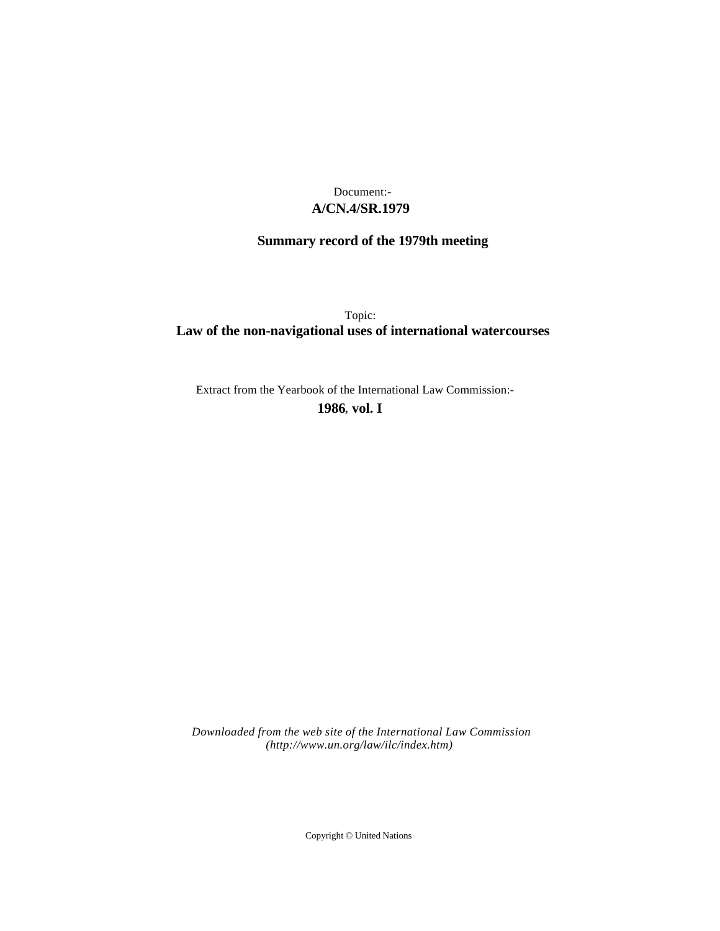# **A/CN.4/SR.1979** Document:-

# **Summary record of the 1979th meeting**

Topic: **Law of the non-navigational uses of international watercourses**

Extract from the Yearbook of the International Law Commission:-

**1986** , **vol. I**

*Downloaded from the web site of the International Law Commission (http://www.un.org/law/ilc/index.htm)*

Copyright © United Nations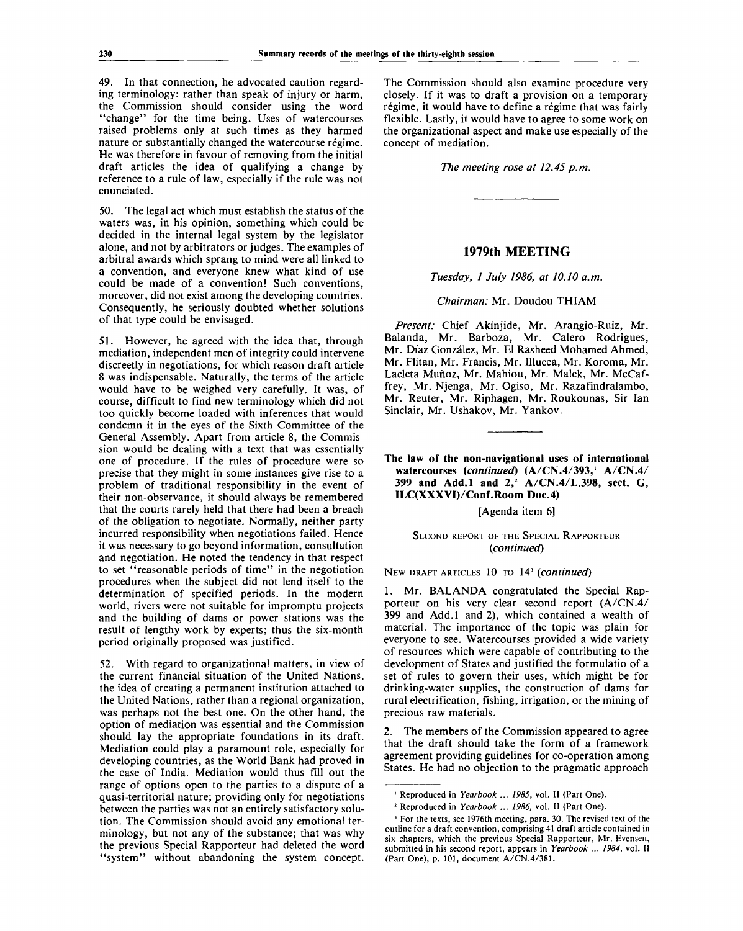49. In that connection, he advocated caution regarding terminology: rather than speak of injury or harm, the Commission should consider using the word "change" for the time being. Uses of watercourses raised problems only at such times as they harmed nature or substantially changed the watercourse régime. He was therefore in favour of removing from the initial draft articles the idea of qualifying a change by reference to a rule of law, especially if the rule was not enunciated.

50. The legal act which must establish the status of the waters was, in his opinion, something which could be decided in the internal legal system by the legislator alone, and not by arbitrators or judges. The examples of arbitral awards which sprang to mind were all linked to a convention, and everyone knew what kind of use could be made of a convention! Such conventions, moreover, did not exist among the developing countries. Consequently, he seriously doubted whether solutions of that type could be envisaged.

51. However, he agreed with the idea that, through mediation, independent men of integrity could intervene discreetly in negotiations, for which reason draft article 8 was indispensable. Naturally, the terms of the article would have to be weighed very carefully. It was, of course, difficult to find new terminology which did not too quickly become loaded with inferences that would condemn it in the eyes of the Sixth Committee of the General Assembly. Apart from article 8, the Commission would be dealing with a text that was essentially one of procedure. If the rules of procedure were so precise that they might in some instances give rise to a problem of traditional responsibility in the event of their non-observance, it should always be remembered that the courts rarely held that there had been a breach of the obligation to negotiate. Normally, neither party incurred responsibility when negotiations failed. Hence it was necessary to go beyond information, consultation and negotiation. He noted the tendency in that respect to set "reasonable periods of time" in the negotiation procedures when the subject did not lend itself to the determination of specified periods. In the modern world, rivers were not suitable for impromptu projects and the building of dams or power stations was the result of lengthy work by experts; thus the six-month period originally proposed was justified.

52. With regard to organizational matters, in view of the current financial situation of the United Nations, the idea of creating a permanent institution attached to the United Nations, rather than a regional organization, was perhaps not the best one. On the other hand, the option of mediation was essential and the Commission should lay the appropriate foundations in its draft. Mediation could play a paramount role, especially for developing countries, as the World Bank had proved in the case of India. Mediation would thus fill out the range of options open to the parties to a dispute of a quasi-territorial nature; providing only for negotiations between the parties was not an entirely satisfactory solution. The Commission should avoid any emotional terminology, but not any of the substance; that was why the previous Special Rapporteur had deleted the word "system" without abandoning the system concept. The Commission should also examine procedure very closely. If it was to draft a provision on a temporary régime, it would have to define a régime that was fairly flexible. Lastly, it would have to agree to some work on the organizational aspect and make use especially of the concept of mediation.

*The meeting rose at 12.45 p.m.*

### **1979th MEETING**

*Tuesday, 1 July 1986, at 10.10 a.m.*

#### *Chairman:* Mr. Doudou THIAM

*Present:* Chief Akinjide, Mr. Arangio-Ruiz, Mr. Balanda, Mr. Barboza, Mr. Calero Rodrigues, Mr. Diaz Gonzalez, Mr. El Rasheed Mohamed Ahmed, Mr. Flitan, Mr. Francis, Mr. Illueca, Mr. Koroma, Mr. Lacleta Muñoz, Mr. Mahiou, Mr. Malek, Mr. McCaffrey, Mr. Njenga, Mr. Ogiso, Mr. Razafindralambo, Mr. Reuter, Mr. Riphagen, Mr. Roukounas, Sir Ian Sinclair, Mr. Ushakov, Mr. Yankov.

**The law of the non-navigational uses of international watercourses** *(continued)* **(A/CN.4/393,' A/CN.4/ 399 and Add.l and 2,<sup>2</sup> A/CN.4/L.398, sect. G, ILC(XXXVI)/Conf.Room Doc.4)**

[Agenda item 6]

#### SECOND REPORT OF THE SPECIAL RAPPORTEUR *{continued)*

NEW DRAFT ARTICLES 10 TO 14<sup>3</sup>  *(continued)*

1. Mr. BALANDA congratulated the Special Rapporteur on his very clear second report (A/CN.4/ 399 and Add.l and 2), which contained a wealth of material. The importance of the topic was plain for everyone to see. Watercourses provided a wide variety of resources which were capable of contributing to the development of States and justified the formulatio of a set of rules to govern their uses, which might be for drinking-water supplies, the construction of dams for rural electrification, fishing, irrigation, or the mining of precious raw materials.

2. The members of the Commission appeared to agree that the draft should take the form of a framework agreement providing guidelines for co-operation among States. He had no objection to the pragmatic approach

<sup>&</sup>lt;sup>2</sup> Reproduced in Yearbook ... 1985, vol. II (Part One).

<sup>2</sup> Reproduced in *Yearbook ... 1986,* vol. II (Part One).

<sup>&</sup>lt;sup>3</sup> For the texts, see 1976th meeting, para. 30. The revised text of the outline for a draft convention, comprising 41 draft article contained in six chapters, which the previous Special Rapporteur, Mr. Evensen, submitted in his second report, appears in *Yearbook ... 1984,* vol. II (Part One), p. 101, document A/CN.4/381.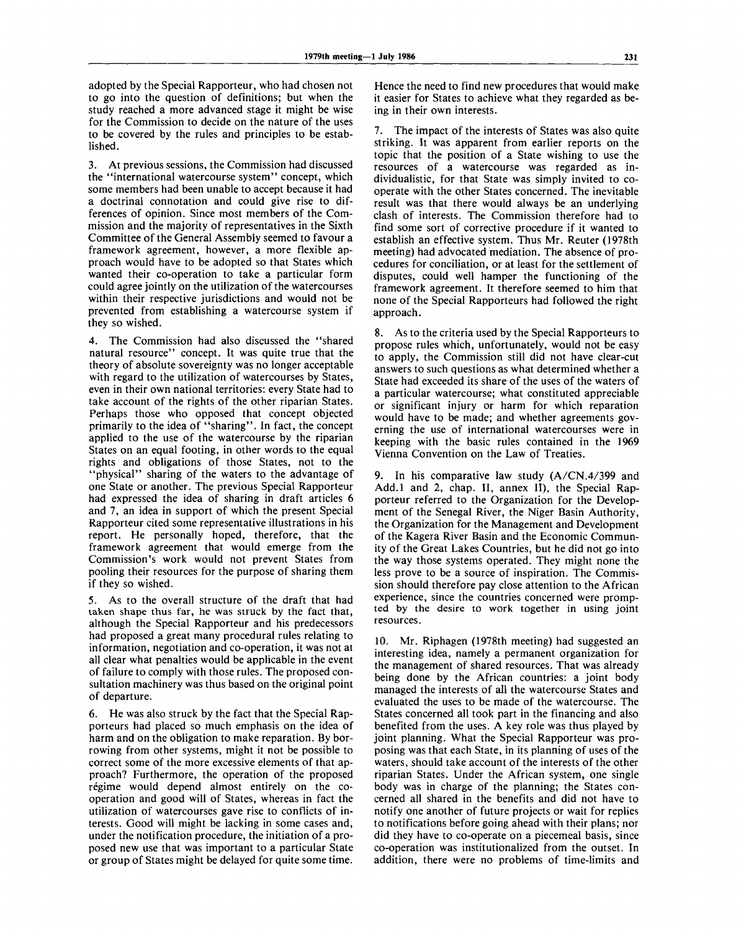adopted by the Special Rapporteur, who had chosen not to go into the question of definitions; but when the study reached a more advanced stage it might be wise for the Commission to decide on the nature of the uses to be covered by the rules and principles to be established.

3. At previous sessions, the Commission had discussed the "international watercourse system" concept, which some members had been unable to accept because it had a doctrinal connotation and could give rise to differences of opinion. Since most members of the Commission and the majority of representatives in the Sixth Committee of the General Assembly seemed to favour a framework agreement, however, a more flexible approach would have to be adopted so that States which wanted their co-operation to take a particular form could agree jointly on the utilization of the watercourses within their respective jurisdictions and would not be prevented from establishing a watercourse system if they so wished.

4. The Commission had also discussed the "shared natural resource" concept. It was quite true that the theory of absolute sovereignty was no longer acceptable with regard to the utilization of watercourses by States, even in their own national territories: every State had to take account of the rights of the other riparian States. Perhaps those who opposed that concept objected primarily to the idea of "sharing". In fact, the concept applied to the use of the watercourse by the riparian States on an equal footing, in other words to the equal rights and obligations of those States, not to the "physical" sharing of the waters to the advantage of one State or another. The previous Special Rapporteur had expressed the idea of sharing in draft articles 6 and 7, an idea in support of which the present Special Rapporteur cited some representative illustrations in his report. He personally hoped, therefore, that the framework agreement that would emerge from the Commission's work would not prevent States from pooling their resources for the purpose of sharing them if they so wished.

5. As to the overall structure of the draft that had taken shape thus far, he was struck by the fact that, although the Special Rapporteur and his predecessors had proposed a great many procedural rules relating to information, negotiation and co-operation, it was not at all clear what penalties would be applicable in the event of failure to comply with those rules. The proposed consultation machinery was thus based on the original point of departure.

6. He was also struck by the fact that the Special Rapporteurs had placed so much emphasis on the idea of harm and on the obligation to make reparation. By borrowing from other systems, might it not be possible to correct some of the more excessive elements of that approach? Furthermore, the operation of the proposed régime would depend almost entirely on the cooperation and good will of States, whereas in fact the utilization of watercourses gave rise to conflicts of interests. Good will might be lacking in some cases and, under the notification procedure, the initiation of a proposed new use that was important to a particular State or group of States might be delayed for quite some time.

Hence the need to find new procedures that would make it easier for States to achieve what they regarded as being in their own interests.

7. The impact of the interests of States was also quite striking. It was apparent from earlier reports on the topic that the position of a State wishing to use the resources of a watercourse was regarded as individualistic, for that State was simply invited to cooperate with the other States concerned. The inevitable result was that there would always be an underlying clash of interests. The Commission therefore had to find some sort of corrective procedure if it wanted to establish an effective system. Thus Mr. Reuter (1978th meeting) had advocated mediation. The absence of procedures for conciliation, or at least for the settlement of disputes, could well hamper the functioning of the framework agreement. It therefore seemed to him that none of the Special Rapporteurs had followed the right approach.

8. As to the criteria used by the Special Rapporteurs to propose rules which, unfortunately, would not be easy to apply, the Commission still did not have clear-cut answers to such questions as what determined whether a State had exceeded its share of the uses of the waters of a particular watercourse; what constituted appreciable or significant injury or harm for which reparation would have to be made; and whether agreements governing the use of international watercourses were in keeping with the basic rules contained in the 1969 Vienna Convention on the Law of Treaties.

9. In his comparative law study (A/CN.4/399 and Add.l and 2, chap. II, annex II), the Special Rapporteur referred to the Organization for the Development of the Senegal River, the Niger Basin Authority, the Organization for the Management and Development of the Kagera River Basin and the Economic Community of the Great Lakes Countries, but he did not go into the way those systems operated. They might none the less prove to be a source of inspiration. The Commission should therefore pay close attention to the African experience, since the countries concerned were prompted by the desire to work together in using joint resources.

10. Mr. Riphagen (1978th meeting) had suggested an interesting idea, namely a permanent organization for the management of shared resources. That was already being done by the African countries: a joint body managed the interests of all the watercourse States and evaluated the uses to be made of the watercourse. The States concerned all took part in the financing and also benefited from the uses. A key role was thus played by joint planning. What the Special Rapporteur was proposing was that each State, in its planning of uses of the waters, should take account of the interests of the other riparian States. Under the African system, one single body was in charge of the planning; the States concerned all shared in the benefits and did not have to notify one another of future projects or wait for replies to notifications before going ahead with their plans; nor did they have to co-operate on a piecemeal basis, since co-operation was institutionalized from the outset. In addition, there were no problems of time-limits and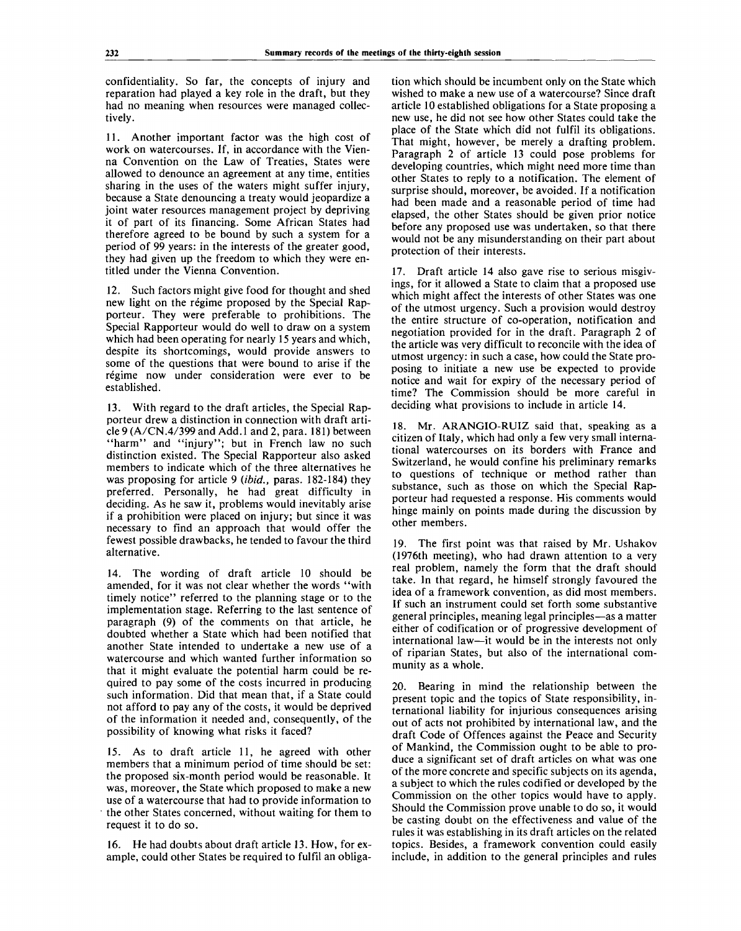confidentiality. So far, the concepts of injury and reparation had played a key role in the draft, but they had no meaning when resources were managed collectively.

11. Another important factor was the high cost of work on watercourses. If, in accordance with the Vienna Convention on the Law of Treaties, States were allowed to denounce an agreement at any time, entities sharing in the uses of the waters might suffer injury, because a State denouncing a treaty would jeopardize a joint water resources management project by depriving it of part of its financing. Some African States had therefore agreed to be bound by such a system for a period of 99 years: in the interests of the greater good, they had given up the freedom to which they were entitled under the Vienna Convention.

12. Such factors might give food for thought and shed new light on the régime proposed by the Special Rapporteur. They were preferable to prohibitions. The Special Rapporteur would do well to draw on a system which had been operating for nearly 15 years and which, despite its shortcomings, would provide answers to some of the questions that were bound to arise if the régime now under consideration were ever to be established.

13. With regard to the draft articles, the Special Rapporteur drew a distinction in connection with draft article 9 (A/CN.4/399 and Add.l and 2, para. 181) between "harm" and "injury"; but in French law no such distinction existed. The Special Rapporteur also asked members to indicate which of the three alternatives he was proposing for article 9 *(ibid.,* paras. 182-184) they preferred. Personally, he had great difficulty in deciding. As he saw it, problems would inevitably arise if a prohibition were placed on injury; but since it was necessary to find an approach that would offer the fewest possible drawbacks, he tended to favour the third alternative.

14. The wording of draft article 10 should be amended, for it was not clear whether the words "with timely notice" referred to the planning stage or to the implementation stage. Referring to the last sentence of paragraph (9) of the comments on that article, he doubted whether a State which had been notified that another State intended to undertake a new use of a watercourse and which wanted further information so that it might evaluate the potential harm could be required to pay some of the costs incurred in producing such information. Did that mean that, if a State could not afford to pay any of the costs, it would be deprived of the information it needed and, consequently, of the possibility of knowing what risks it faced?

15. As to draft article 11, he agreed with other members that a minimum period of time should be set: the proposed six-month period would be reasonable. It was, moreover, the State which proposed to make a new use of a watercourse that had to provide information to the other States concerned, without waiting for them to request it to do so.

16. He had doubts about draft article 13. How, for example, could other States be required to fulfil an obligation which should be incumbent only on the State which wished to make a new use of a watercourse? Since draft article 10 established obligations for a State proposing a new use, he did not see how other States could take the place of the State which did not fulfil its obligations. That might, however, be merely a drafting problem. Paragraph 2 of article 13 could pose problems for developing countries, which might need more time than other States to reply to a notification. The element of surprise should, moreover, be avoided. If a notification had been made and a reasonable period of time had elapsed, the other States should be given prior notice before any proposed use was undertaken, so that there would not be any misunderstanding on their part about protection of their interests.

17. Draft article 14 also gave rise to serious misgivings, for it allowed a State to claim that a proposed use which might affect the interests of other States was one of the utmost urgency. Such a provision would destroy the entire structure of co-operation, notification and negotiation provided for in the draft. Paragraph 2 of the article was very difficult to reconcile with the idea of utmost urgency: in such a case, how could the State proposing to initiate a new use be expected to provide notice and wait for expiry of the necessary period of time? The Commission should be more careful in deciding what provisions to include in article 14.

18. Mr. ARANGIO-RUIZ said that, speaking as a citizen of Italy, which had only a few very small international watercourses on its borders with France and Switzerland, he would confine his preliminary remarks to questions of technique or method rather than substance, such as those on which the Special Rapporteur had requested a response. His comments would hinge mainly on points made during the discussion by other members.

19. The first point was that raised by Mr. Ushakov (1976th meeting), who had drawn attention to a very real problem, namely the form that the draft should take. In that regard, he himself strongly favoured the idea of a framework convention, as did most members. If such an instrument could set forth some substantive general principles, meaning legal principles—as a matter either of codification or of progressive development of international law—it would be in the interests not only of riparian States, but also of the international community as a whole.

20. Bearing in mind the relationship between the present topic and the topics of State responsibility, international liability for injurious consequences arising out of acts not prohibited by international law, and the draft Code of Offences against the Peace and Security of Mankind, the Commission ought to be able to produce a significant set of draft articles on what was one of the more concrete and specific subjects on its agenda, a subject to which the rules codified or developed by the Commission on the other topics would have to apply. Should the Commission prove unable to do so, it would be casting doubt on the effectiveness and value of the rules it was establishing in its draft articles on the related topics. Besides, a framework convention could easily include, in addition to the general principles and rules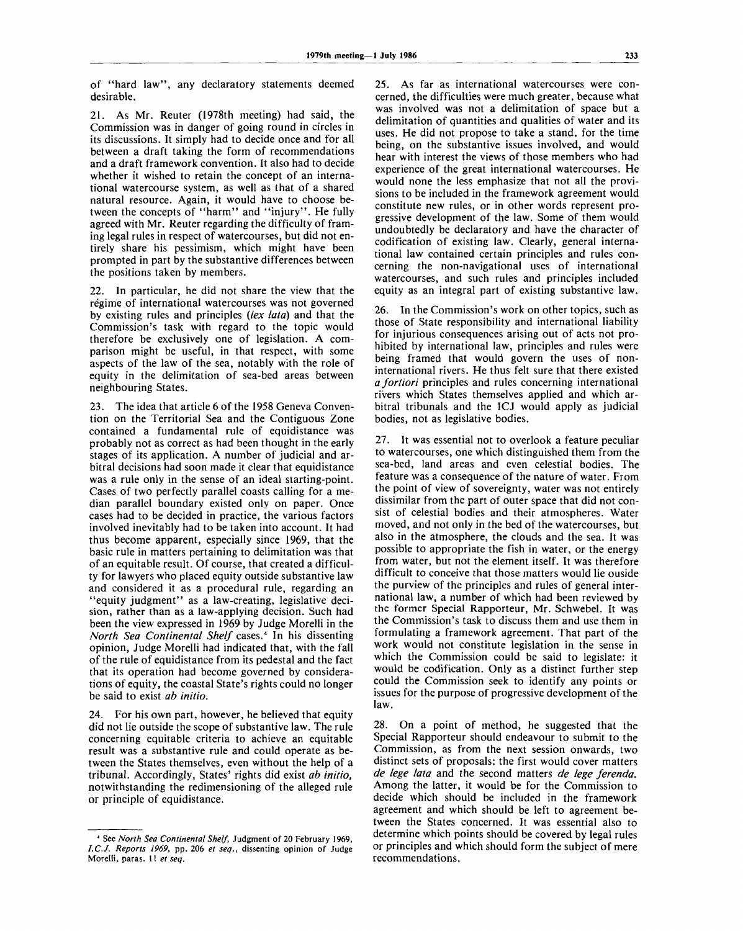of "hard law", any declaratory statements deemed desirable.

21. As Mr. Reuter (1978th meeting) had said, the Commission was in danger of going round in circles in its discussions. It simply had to decide once and for all between a draft taking the form of recommendations and a draft framework convention. It also had to decide whether it wished to retain the concept of an international watercourse system, as well as that of a shared natural resource. Again, it would have to choose between the concepts of "harm" and "injury". He fully agreed with Mr. Reuter regarding the difficulty of framing legal rules in respect of watercourses, but did not entirely share his pessimism, which might have been prompted in part by the substantive differences between the positions taken by members.

22. In particular, he did not share the view that the régime of international watercourses was not governed by existing rules and principles *{lex lata)* and that the Commission's task with regard to the topic would therefore be exclusively one of legislation. A comparison might be useful, in that respect, with some aspects of the law of the sea, notably with the role of equity in the delimitation of sea-bed areas between neighbouring States.

23. The idea that article 6 of the 1958 Geneva Convention on the Territorial Sea and the Contiguous Zone contained a fundamental rule of equidistance was probably not as correct as had been thought in the early stages of its application. A number of judicial and arbitral decisions had soon made it clear that equidistance was a rule only in the sense of an ideal starting-point. Cases of two perfectly parallel coasts calling for a median parallel boundary existed only on paper. Once cases had to be decided in practice, the various factors involved inevitably had to be taken into account. It had thus become apparent, especially since 1969, that the basic rule in matters pertaining to delimitation was that of an equitable result. Of course, that created a difficulty for lawyers who placed equity outside substantive law and considered it as a procedural rule, regarding an "equity judgment" as a law-creating, legislative decision, rather than as a law-applying decision. Such had been the view expressed in 1969 by Judge Morelli in the *North Sea Continental Shelf* cases.<sup>4</sup> In his dissenting opinion, Judge Morelli had indicated that, with the fall of the rule of equidistance from its pedestal and the fact that its operation had become governed by considerations of equity, the coastal State's rights could no longer be said to exist *ab initio.*

24. For his own part, however, he believed that equity did not lie outside the scope of substantive law. The rule concerning equitable criteria to achieve an equitable result was a substantive rule and could operate as between the States themselves, even without the help of a tribunal. Accordingly, States' rights did exist *ab initio,* notwithstanding the redimensioning of the alleged rule or principle of equidistance.

25. As far as international watercourses were concerned, the difficulties were much greater, because what was involved was not a delimitation of space but a delimitation of quantities and qualities of water and its uses. He did not propose to take a stand, for the time being, on the substantive issues involved, and would hear with interest the views of those members who had experience of the great international watercourses. He would none the less emphasize that not all the provisions to be included in the framework agreement would constitute new rules, or in other words represent progressive development of the law. Some of them would undoubtedly be declaratory and have the character of codification of existing law. Clearly, general international law contained certain principles and rules concerning the non-navigational uses of international watercourses, and such rules and principles included equity as an integral part of existing substantive law.

26. In the Commission's work on other topics, such as those of State responsibility and international liability for injurious consequences arising out of acts not prohibited by international law, principles and rules were being framed that would govern the uses of noninternational rivers. He thus felt sure that there existed *a fortiori* principles and rules concerning international rivers which States themselves applied and which arbitral tribunals and the ICJ would apply as judicial bodies, not as legislative bodies.

27. It was essential not to overlook a feature peculiar to watercourses, one which distinguished them from the sea-bed, land areas and even celestial bodies. The feature was a consequence of the nature of water. From the point of view of sovereignty, water was not entirely dissimilar from the part of outer space that did not consist of celestial bodies and their atmospheres. Water moved, and not only in the bed of the watercourses, but also in the atmosphere, the clouds and the sea. It was possible to appropriate the fish in water, or the energy from water, but not the element itself. It was therefore difficult to conceive that those matters would lie ouside the purview of the principles and rules of general international law, a number of which had been reviewed by the former Special Rapporteur, Mr. Schwebel. It was the Commission's task to discuss them and use them in formulating a framework agreement. That part of the work would not constitute legislation in the sense in which the Commission could be said to legislate: it would be codification. Only as a distinct further step could the Commission seek to identify any points or issues for the purpose of progressive development of the law.

28. On a point of method, he suggested that the Special Rapporteur should endeavour to submit to the Commission, as from the next session onwards, two distinct sets of proposals: the first would cover matters *de lege lata* and the second matters *de lege ferenda.* Among the latter, it would be for the Commission to decide which should be included in the framework agreement and which should be left to agreement between the States concerned. It was essential also to determine which points should be covered by legal rules or principles and which should form the subject of mere recommendations.

<sup>4</sup> See *North Sea Continental Shelf,* Judgment of 20 February 1969, *I.C.J. Reports 1969,* pp. 206 *et seq.,* dissenting opinion of Judge Morelli, paras. 11 *et seq.*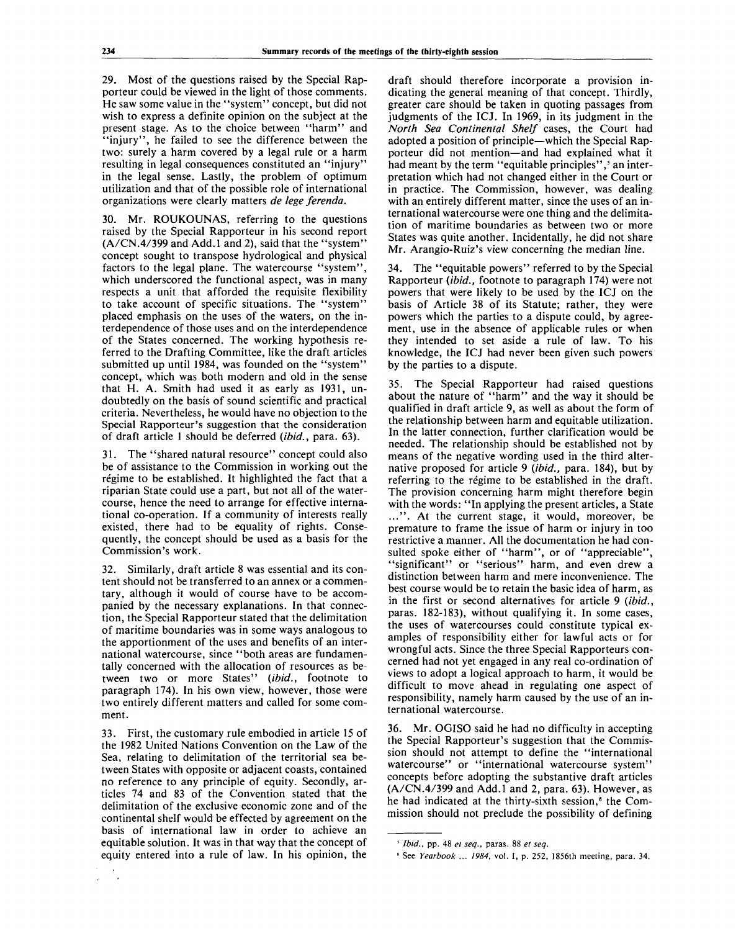29. Most of the questions raised by the Special Rapporteur could be viewed in the light of those comments. He saw some value in the "system" concept, but did not wish to express a definite opinion on the subject at the present stage. As to the choice between "harm" and "injury", he failed to see the difference between the two: surely a harm covered by a legal rule or a harm resulting in legal consequences constituted an "injury" in the legal sense. Lastly, the problem of optimum utilization and that of the possible role of international organizations were clearly matters *de lege ferenda.*

30. Mr. ROUKOUNAS, referring to the questions raised by the Special Rapporteur in his second report (A/CN.4/399 and Add.l and 2), said that the "system" concept sought to transpose hydrological and physical factors to the legal plane. The watercourse "system", which underscored the functional aspect, was in many respects a unit that afforded the requisite flexibility to take account of specific situations. The "system" placed emphasis on the uses of the waters, on the interdependence of those uses and on the interdependence of the States concerned. The working hypothesis referred to the Drafting Committee, like the draft articles submitted up until 1984, was founded on the "system" concept, which was both modern and old in the sense that H. A. Smith had used it as early as 1931, undoubtedly on the basis of sound scientific and practical criteria. Nevertheless, he would have no objection to the Special Rapporteur's suggestion that the consideration of draft article 1 should be deferred *{ibid.,* para. 63).

31. The "shared natural resource" concept could also be of assistance to the Commission in working out the régime to be established. It highlighted the fact that a riparian State could use a part, but not all of the watercourse, hence the need to arrange for effective international co-operation. If a community of interests really existed, there had to be equality of rights. Consequently, the concept should be used as a basis for the Commission's work.

32. Similarly, draft article 8 was essential and its content should not be transferred to an annex or a commentary, although it would of course have to be accompanied by the necessary explanations. In that connection, the Special Rapporteur stated that the delimitation of maritime boundaries was in some ways analogous to the apportionment of the uses and benefits of an international watercourse, since "both areas are fundamentally concerned with the allocation of resources as between two or more States" *{ibid.,* footnote to paragraph 174). In his own view, however, those were two entirely different matters and called for some comment.

33. First, the customary rule embodied in article 15 of the 1982 United Nations Convention on the Law of the Sea, relating to delimitation of the territorial sea between States with opposite or adjacent coasts, contained no reference to any principle of equity. Secondly, articles 74 and 83 of the Convention stated that the delimitation of the exclusive economic zone and of the continental shelf would be effected by agreement on the basis of international law in order to achieve an equitable solution. It was in that way that the concept of equity entered into a rule of law. In his opinion, the

draft should therefore incorporate a provision indicating the general meaning of that concept. Thirdly, greater care should be taken in quoting passages from judgments of the ICJ. In 1969, in its judgment in the *North Sea Continental Shelf* cases, the Court had adopted a position of principle—which the Special Rapporteur did not mention—and had explained what it had meant by the term "equitable principles", s an interpretation which had not changed either in the Court or in practice. The Commission, however, was dealing with an entirely different matter, since the uses of an international watercourse were one thing and the delimitation of maritime boundaries as between two or more States was quite another. Incidentally, he did not share Mr. Arangio-Ruiz's view concerning the median line.

34. The "equitable powers" referred to by the Special Rapporteur *{ibid.,* footnote to paragraph 174) were not powers that were likely to be used by the ICJ on the basis of Article 38 of its Statute; rather, they were powers which the parties to a dispute could, by agreement, use in the absence of applicable rules or when they intended to set aside a rule of law. To his knowledge, the ICJ had never been given such powers by the parties to a dispute.

35. The Special Rapporteur had raised questions about the nature of "harm" and the way it should be qualified in draft article 9, as well as about the form of the relationship between harm and equitable utilization. In the latter connection, further clarification would be needed. The relationship should be established not by means of the negative wording used in the third alternative proposed for article 9 *{ibid.,* para. 184), but by referring to the régime to be established in the draft. The provision concerning harm might therefore begin with the words: "In applying the present articles, a State ...". At the current stage, it would, moreover, be premature to frame the issue of harm or injury in too restrictive a manner. All the documentation he had consulted spoke either of "harm", or of "appreciable", "significant" or "serious" harm, and even drew a distinction between harm and mere inconvenience. The best course would be to retain the basic idea of harm, as in the first or second alternatives for article 9 *{ibid.,* paras. 182-183), without qualifying it. In some cases, the uses of watercourses could constitute typical examples of responsibility either for lawful acts or for wrongful acts. Since the three Special Rapporteurs concerned had not yet engaged in any real co-ordination of views to adopt a logical approach to harm, it would be difficult to move ahead in regulating one aspect of responsibility, namely harm caused by the use of an international watercourse.

36. Mr. OGISO said he had no difficulty in accepting the Special Rapporteur's suggestion that the Commission should not attempt to define the "international watercourse" or "international watercourse system" concepts before adopting the substantive draft articles (A/CN.4/399 and Add.l and 2, para. 63). However, as he had indicated at the thirty-sixth session, $\delta$  the Commission should not preclude the possibility of defining

*<sup>-</sup> Ibid.,* pp. 48 *et seq.,* paras. 88 *et seq.*

<sup>6</sup> See *Yearbook ... 1984,* vol. I, p. 252, 1856th meeting, para. 34.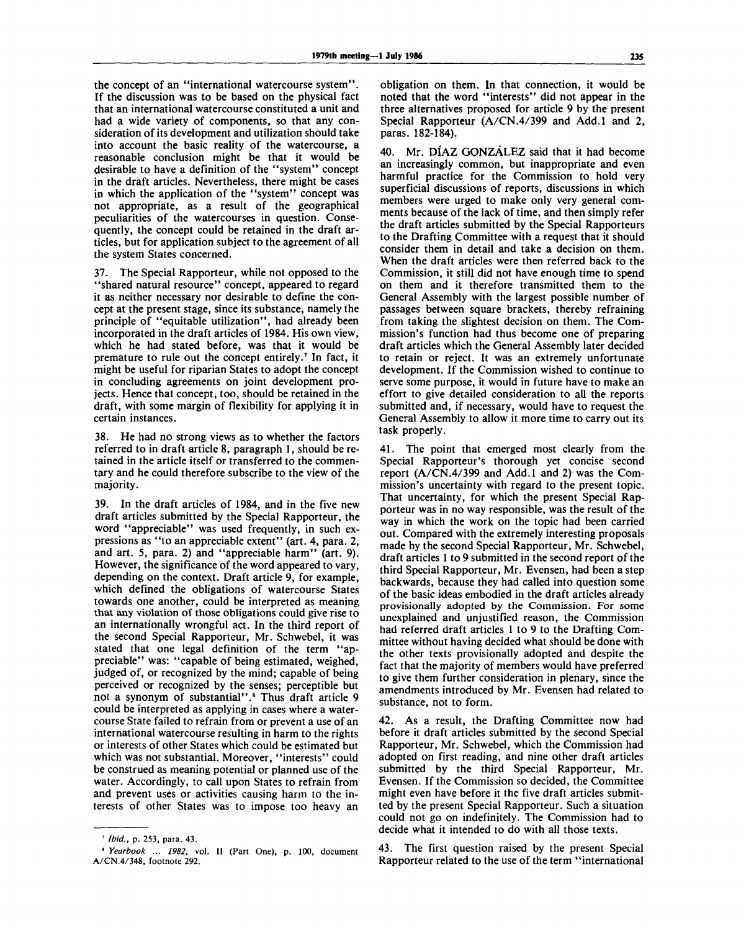the concept of an "international watercourse system". If the discussion was to be based on the physical fact that an international watercourse constituted a unit and had a wide variety of components, so that any consideration of its development and utilization should take into account the basic reality of the watercourse, a reasonable conclusion might be that it would be desirable to have a definition of the "system" concept in the draft articles. Nevertheless, there might be cases in which the application of the "system" concept was not appropriate, as a result of the geographical peculiarities of the watercourses in question. Consequently, the concept could be retained in the draft articles, but for application subject to the agreement of all the system States concerned.

37. The Special Rapporteur, while not opposed to the "shared natural resource" concept, appeared to regard it as neither necessary nor desirable to define the concept at the present stage, since its substance, namely the principle of "equitable utilization", had already been incorporated in the draft articles of 1984. His own view, which he had stated before, was that it would be premature to rule out the concept entirely.<sup>7</sup> In fact, it might be useful for riparian States to adopt the concept in concluding agreements on joint development projects. Hence that concept; too, should be retained in the draft, with some margin of flexibility for applying it in certain instances.

38. He had no strong views as to whether the factors referred to in draft article 8, paragraph 1, should be retained in the article itself or transferred to the commentary and he could therefore subscribe to the view of the majority.

39. In the draft articles of 1984, and in the five new draft articles submitted by the Special Rapporteur, the word "appreciable" was used frequently, in such expressions as "to an appreciable extent" (art. 4, para. 2, and art. 5, para. 2) and "appreciable harm" (art. 9). However, the significance of the word appeared to vary, depending on the context. Draft article 9, for example, which defined the obligations of watercourse States towards one another, could be interpreted as meaning that any violation of those obligations could give rise to an internationally wrongful act. In the third report of the second Special Rapporteur, Mr. Schwebel, it was stated that one legal definition of the term "appreciable" was: "capable of being estimated, weighed, judged of, or recognized by the mind; capable of being perceived or recognized by the senses; perceptible but not a synonym of substantial".<sup>8</sup> Thus draft article 9 could be interpreted as applying in cases where a watercourse State failed to refrain from or prevent a use of an international watercourse resulting in harm to the rights or interests of other States which could be estimated but which was not substantial. Moreover, "interests" could be construed as meaning potential or planned use of the water. Accordingly, to call upon States to refrain from and prevent uses or activities causing harm to the interests of other States was to impose too heavy an

obligation on them. In that connection, it would be noted that the word "interests" did not appear in the three alternatives proposed for article 9 by the present Special Rapporteur (A/CN.4/399 and Add.l and 2, paras. 182-184).

40. Mr. DIAZ GONZALEZ said that it had become an increasingly common, but inappropriate and even harmful practice for the Commission to hold very superficial discussions of reports, discussions in which members were urged to make only very general comments because of the lack of time, and then simply refer the draft articles submitted by the Special Rapporteurs to the Drafting Committee with a request that it should consider them in detail and take a decision on them. When the draft articles were then referred back to the Commission, it still did not have enough time to spend on them and it therefore transmitted them to the General Assembly with the largest possible number of passages between square brackets, thereby refraining from taking the slightest decision on them. The Commission's function had thus become one of preparing draft articles which the General Assembly later decided to retain or reject. It was an extremely unfortunate development. If the Commission wished to continue to serve some purpose, it would in future have to make an effort to give detailed consideration to all the reports submitted and, if necessary, would have to request the General Assembly to allow it more time to carry out its task properly.

41. The point that emerged most clearly from the Special Rapporteur's thorough yet concise second report (A/CN.4/399 and Add.l and 2) was the Commission's uncertainty with regard to the present topic. That uncertainty, for which the present Special Rapporteur was in no way responsible, was the result of the way in which the work on the topic had been carried out. Compared with the extremely interesting proposals made by the second Special Rapporteur, Mr. Schwebel, draft articles 1 to 9 submitted in the second report of the third Special Rapporteur, Mr. Evensen, had been a step backwards, because they had called into question some of the basic ideas embodied in the draft articles already provisionally adopted by the Commission. For some unexplained and unjustified reason, the Commission had referred draft articles 1 to 9 to the Drafting Committee without having decided what should be done with the other texts provisionally adopted and despite the fact that the majority of members would have preferred to give them further consideration in plenary, since the amendments introduced by Mr. Evensen had related to substance, not to form.

42. As a result, the Drafting Committee now had before it draft articles submitted by the second Special Rapporteur, Mr. Schwebel, which the Commission had adopted on first reading, and nine other draft articles submitted by the third Special Rapporteur, Mr. Evensen. If the Commission so decided, the Committee might even have before it the five draft articles submitted by the present Special Rapporteur. Such a situation could not go on indefinitely. The Commission had to decide what it intended to do with all those texts.

43. The first question raised by the present Special Rapporteur related to the use of the term "international

<sup>7</sup>  *Ibid.,* p. 253, para. 43.

<sup>8</sup>  *Yearbook ... 1982,* vol. II (Part One), p. 100, document A/CN.4/348, footnote 292.